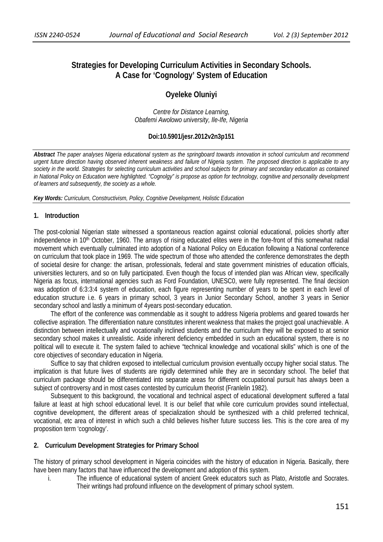# **Strategies for Developing Curriculum Activities in Secondary Schools. A Case for 'Cognology' System of Education**

# **Oyeleke Oluniyi**

*Centre for Distance Learning, Obafemi Awolowo university, Ile-Ife, Nigeria* 

### **Doi:10.5901/jesr.2012v2n3p151**

*Abstract The paper analyses Nigeria educational system as the springboard towards innovation in school curriculum and recommend urgent future direction having observed inherent weakness and failure of Nigeria system. The proposed direction is applicable to any society in the world. Strategies for selecting curriculum activities and school subjects for primary and secondary education as contained in National Policy on Education were highlighted. "Cognolgy" is propose as option for technology, cognitive and personality development of learners and subsequently, the society as a whole.*

*Key Words: Curriculum, Constructivism, Policy, Cognitive Development, Holistic Education* 

#### **1. Introduction**

The post-colonial Nigerian state witnessed a spontaneous reaction against colonial educational, policies shortly after independence in 10<sup>th</sup> October, 1960. The arrays of rising educated elites were in the fore-front of this somewhat radial movement which eventually culminated into adoption of a National Policy on Education following a National conference on curriculum that took place in 1969. The wide spectrum of those who attended the conference demonstrates the depth of societal desire for change: the artisan, professionals, federal and state government ministries of education officials, universities lecturers, and so on fully participated. Even though the focus of intended plan was African view, specifically Nigeria as focus, international agencies such as Ford Foundation, UNESC0, were fully represented. The final decision was adoption of 6:3:3:4 system of education, each figure representing number of years to be spent in each level of education structure i.e. 6 years in primary school, 3 years in Junior Secondary School, another 3 years in Senior secondary school and lastly a minimum of 4years post-secondary education.

The effort of the conference was commendable as it sought to address Nigeria problems and geared towards her collective aspiration. The differentiation nature constitutes inherent weakness that makes the project goal unachievable. A distinction between intellectually and vocationally inclined students and the curriculum they will be exposed to at senior secondary school makes it unrealistic. Aside inherent deficiency embedded in such an educational system, there is no political will to execute it. The system failed to achieve "technical knowledge and vocational skills" which is one of the core objectives of secondary education in Nigeria.

Suffice to say that children exposed to intellectual curriculum provision eventually occupy higher social status. The implication is that future lives of students are rigidly determined while they are in secondary school. The belief that curriculum package should be differentiated into separate areas for different occupational pursuit has always been a subject of controversy and in most cases contested by curriculum theorist (Franlelin 1982).

Subsequent to this background, the vocational and technical aspect of educational development suffered a fatal failure at least at high school educational level. It is our belief that while core curriculum provides sound intellectual, cognitive development, the different areas of specialization should be synthesized with a child preferred technical, vocational, etc area of interest in which such a child believes his/her future success lies. This is the core area of my proposition term 'cognology'.

#### **2. Curriculum Development Strategies for Primary School**

The history of primary school development in Nigeria coincides with the history of education in Nigeria. Basically, there have been many factors that have influenced the development and adoption of this system.

i. The influence of educational system of ancient Greek educators such as Plato, Aristotle and Socrates. Their writings had profound influence on the development of primary school system.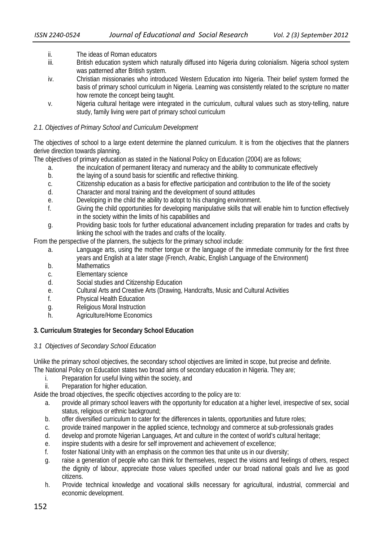- ii. The ideas of Roman educators
- iii. British education system which naturally diffused into Nigeria during colonialism. Nigeria school system was patterned after British system.
- iv. Christian missionaries who introduced Western Education into Nigeria. Their belief system formed the basis of primary school curriculum in Nigeria. Learning was consistently related to the scripture no matter how remote the concept being taught.
- v. Nigeria cultural heritage were integrated in the curriculum, cultural values such as story-telling, nature study, family living were part of primary school curriculum

#### *2.1. Objectives of Primary School and Curriculum Development*

The objectives of school to a large extent determine the planned curriculum. It is from the objectives that the planners derive direction towards planning.

The objectives of primary education as stated in the National Policy on Education (2004) are as follows;

- a. the inculcation of permanent literacy and numeracy and the ability to communicate effectively
- b. the laying of a sound basis for scientific and reflective thinking.
- c. Citizenship education as a basis for effective participation and contribution to the life of the society
- d. Character and moral training and the development of sound attitudes
- e. Developing in the child the ability to adopt to his changing environment.
- f. Giving the child opportunities for developing manipulative skills that will enable him to function effectively in the society within the limits of his capabilities and
- g. Providing basic tools for further educational advancement including preparation for trades and crafts by linking the school with the trades and crafts of the locality.

From the perspective of the planners, the subjects for the primary school include:

- a. Language arts, using the mother tongue or the language of the immediate community for the first three years and English at a later stage (French, Arabic, English Language of the Environment)
- b. Mathematics
- c. Elementary science
- d. Social studies and Citizenship Education
- e. Cultural Arts and Creative Arts (Drawing, Handcrafts, Music and Cultural Activities
- f. Physical Health Education
- g. Religious Moral Instruction
- h. Agriculture/Home Economics

## **3. Curriculum Strategies for Secondary School Education**

## *3.1 Objectives of Secondary School Education*

Unlike the primary school objectives, the secondary school objectives are limited in scope, but precise and definite. The National Policy on Education states two broad aims of secondary education in Nigeria. They are;

- i. Preparation for useful living within the society, and
- ii. Preparation for higher education.

Aside the broad objectives, the specific objectives according to the policy are to:

- a. provide all primary school leavers with the opportunity for education at a higher level, irrespective of sex, social status, religious or ethnic background;
- b. offer diversified curriculum to cater for the differences in talents, opportunities and future roles;
- c. provide trained manpower in the applied science, technology and commerce at sub-professionals grades
- d. develop and promote Nigerian Languages, Art and culture in the context of world's cultural heritage;
- e. inspire students with a desire for self improvement and achievement of excellence;
- f. foster National Unity with an emphasis on the common ties that unite us in our diversity;
- g. raise a generation of people who can think for themselves, respect the visions and feelings of others, respect the dignity of labour, appreciate those values specified under our broad national goals and live as good citizens.
- h. Provide technical knowledge and vocational skills necessary for agricultural, industrial, commercial and economic development.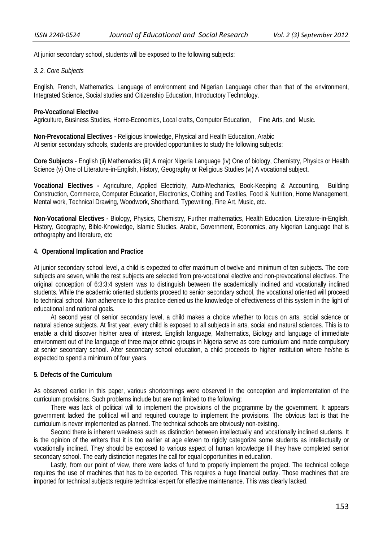At junior secondary school, students will be exposed to the following subjects:

#### *3. 2. Core Subjects*

English, French, Mathematics, Language of environment and Nigerian Language other than that of the environment, Integrated Science, Social studies and Citizenship Education, Introductory Technology.

#### **Pre-Vocational Elective**

Agriculture, Business Studies, Home-Economics, Local crafts, Computer Education, Fine Arts, and Music.

**Non-Prevocational Electives -** Religious knowledge, Physical and Health Education, Arabic At senior secondary schools, students are provided opportunities to study the following subjects:

**Core Subjects** - English (ii) Mathematics (iii) A major Nigeria Language (iv) One of biology, Chemistry, Physics or Health Science (v) One of Literature-in-English, History, Geography or Religious Studies (vi) A vocational subject.

**Vocational Electives -** Agriculture, Applied Electricity, Auto-Mechanics, Book-Keeping & Accounting, Building Construction, Commerce, Computer Education, Electronics, Clothing and Textiles, Food & Nutrition, Home Management, Mental work, Technical Drawing, Woodwork, Shorthand, Typewriting, Fine Art, Music, etc.

**Non-Vocational Electives -** Biology, Physics, Chemistry, Further mathematics, Health Education, Literature-in-English, History, Geography, Bible-Knowledge, Islamic Studies, Arabic, Government, Economics, any Nigerian Language that is orthography and literature, etc

### **4. Operational Implication and Practice**

At junior secondary school level, a child is expected to offer maximum of twelve and minimum of ten subjects. The core subjects are seven, while the rest subjects are selected from pre-vocational elective and non-prevocational electives. The original conception of 6:3:3:4 system was to distinguish between the academically inclined and vocationally inclined students. While the academic oriented students proceed to senior secondary school, the vocational oriented will proceed to technical school. Non adherence to this practice denied us the knowledge of effectiveness of this system in the light of educational and national goals.

At second year of senior secondary level, a child makes a choice whether to focus on arts, social science or natural science subjects. At first year, every child is exposed to all subjects in arts, social and natural sciences. This is to enable a child discover his/her area of interest. English language, Mathematics, Biology and language of immediate environment out of the language of three major ethnic groups in Nigeria serve as core curriculum and made compulsory at senior secondary school. After secondary school education, a child proceeds to higher institution where he/she is expected to spend a minimum of four years.

#### **5. Defects of the Curriculum**

As observed earlier in this paper, various shortcomings were observed in the conception and implementation of the curriculum provisions. Such problems include but are not limited to the following;

There was lack of political will to implement the provisions of the programme by the government. It appears government lacked the political will and required courage to implement the provisions. The obvious fact is that the curriculum is never implemented as planned. The technical schools are obviously non-existing.

Second there is inherent weakness such as distinction between intellectually and vocationally inclined students. It is the opinion of the writers that it is too earlier at age eleven to rigidly categorize some students as intellectually or vocationally inclined. They should be exposed to various aspect of human knowledge till they have completed senior secondary school. The early distinction negates the call for equal opportunities in education.

Lastly, from our point of view, there were lacks of fund to properly implement the project. The technical college requires the use of machines that has to be exported. This requires a huge financial outlay. Those machines that are imported for technical subjects require technical expert for effective maintenance. This was clearly lacked.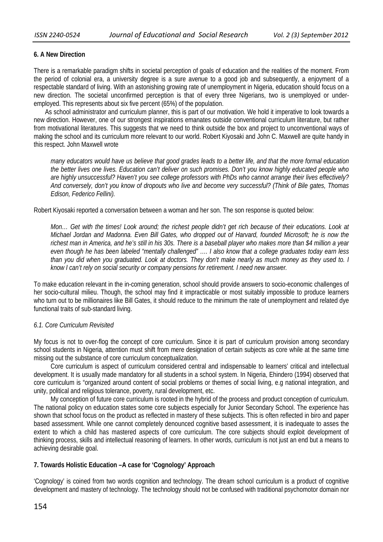# **6. A New Direction**

There is a remarkable paradigm shifts in societal perception of goals of education and the realities of the moment. From the period of colonial era, a university degree is a sure avenue to a good job and subsequently, a enjoyment of a respectable standard of living. With an astonishing growing rate of unemployment in Nigeria, education should focus on a new direction. The societal unconfirmed perception is that of every three Nigerians, two is unemployed or underemployed. This represents about six five percent (65%) of the population.

As school administrator and curriculum planner, this is part of our motivation. We hold it imperative to look towards a new direction. However, one of our strongest inspirations emanates outside conventional curriculum literature, but rather from motivational literatures. This suggests that we need to think outside the box and project to unconventional ways of making the school and its curriculum more relevant to our world. Robert Kiyosaki and John C. Maxwell are quite handy in this respect. John Maxwell wrote

*many educators would have us believe that good grades leads to a better life, and that the more formal education the better lives one lives. Education can't deliver on such promises. Don't you know highly educated people who are highly unsuccessful? Haven't you see college professors with PhDs who cannot arrange their lives effectively? And conversely, don't you know of dropouts who live and become very successful? (Think of Bile gates, Thomas Edison, Federico Fellini).* 

Robert Kiyosaki reported a conversation between a woman and her son. The son response is quoted below:

*Mon… Get with the times! Look around; the richest people didn't get rich because of their educations. Look at Michael Jordan and Madonna. Even Bill Gates, who dropped out of Harvard, founded Microsoft; he is now the richest man in America, and he's still in his 30s. There is a baseball player who makes more than \$4 million a year even though he has been labeled "mentally challenged" …. I also know that a college graduates today earn less than you did when you graduated. Look at doctors. They don't make nearly as much money as they used to. I know I can't rely on social security or company pensions for retirement. I need new answer.* 

To make education relevant in the in-coming generation, school should provide answers to socio-economic challenges of her socio-cultural milieu. Though, the school may find it impracticable or most suitably impossible to produce learners who turn out to be millionaires like Bill Gates, it should reduce to the minimum the rate of unemployment and related dye functional traits of sub-standard living.

## *6.1. Core Curriculum Revisited*

My focus is not to over-flog the concept of core curriculum. Since it is part of curriculum provision among secondary school students in Nigeria, attention must shift from mere designation of certain subjects as core while at the same time missing out the substance of core curriculum conceptualization.

Core curriculum is aspect of curriculum considered central and indispensable to learners' critical and intellectual development. It is usually made mandatory for all students in a school system. In Nigeria, Ehindero (1994) observed that core curriculum is "organized around content of social problems or themes of social living, e.g national integration, and unity, political and religious tolerance, poverty, rural development, etc.

My conception of future core curriculum is rooted in the hybrid of the process and product conception of curriculum. The national policy on education states some core subjects especially for Junior Secondary School. The experience has shown that school focus on the product as reflected in mastery of these subjects. This is often reflected in biro and paper based assessment. While one cannot completely denounced cognitive based assessment, it is inadequate to asses the extent to which a child has mastered aspects of core curriculum. The core subjects should exploit development of thinking process, skills and intellectual reasoning of learners. In other words, curriculum is not just an end but a means to achieving desirable goal.

# **7. Towards Holistic Education –A case for 'Cognology' Approach**

'Cognology' is coined from two words cognition and technology. The dream school curriculum is a product of cognitive development and mastery of technology. The technology should not be confused with traditional psychomotor domain nor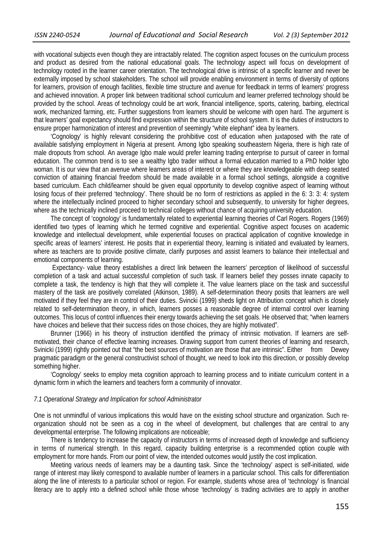with vocational subjects even though they are intractably related. The cognition aspect focuses on the curriculum process and product as desired from the national educational goals. The technology aspect will focus on development of technology rooted in the learner career orientation. The technological drive is intrinsic of a specific learner and never be externally imposed by school stakeholders. The school will provide enabling environment in terms of diversity of options for learners, provision of enough facilities, flexible time structure and avenue for feedback in terms of learners' progress and achieved innovation. A proper link between traditional school curriculum and learner preferred technology should be provided by the school. Areas of technology could be art work, financial intelligence, sports, catering, barbing, electrical work, mechanized farming, etc. Further suggestions from learners should be welcome with open hard. The argument is that learners' goal expectancy should find expression within the structure of school system. It is the duties of instructors to ensure proper harmonization of interest and prevention of seemingly "white elephant" idea by learners.

'Cognology' is highly relevant considering the prohibitive cost of education when juxtaposed with the rate of available satisfying employment in Nigeria at present. Among Igbo speaking southeastern Nigeria, there is high rate of male dropouts from school. An average Igbo male would prefer learning trading enterprise to pursuit of career in formal education. The common trend is to see a wealthy Igbo trader without a formal education married to a PhD holder Igbo woman. It is our view that an avenue where learners areas of interest or where they are knowledgeable with deep seated conviction of attaining financial freedom should be made available in a formal school settings, alongside a cognitive based curriculum. Each child/learner should be given equal opportunity to develop cognitive aspect of learning without losing focus of their preferred 'technology'. There should be no form of restrictions as applied in the 6: 3: 3: 4: system where the intellectually inclined proceed to higher secondary school and subsequently, to university for higher degrees, where as the technically inclined proceed to technical colleges without chance of acquiring university education.

The concept of 'cognology' is fundamentally related to experiential learning theories of Carl Rogers. Rogers (1969) identified two types of learning which he termed cognitive and experiential. Cognitive aspect focuses on academic knowledge and intellectual development, while experiential focuses on practical application of cognitive knowledge in specific areas of learners' interest. He posits that in experiential theory, learning is initiated and evaluated by learners, where as teachers are to provide positive climate, clarify purposes and assist learners to balance their intellectual and emotional components of learning.

 Expectancy- value theory establishes a direct link between the learners' perception of likelihood of successful completion of a task and actual successful completion of such task. If learners belief they posses innate capacity to complete a task, the tendency is high that they will complete it. The value learners place on the task and successful mastery of the task are positively correlated (Atkinson, 1989). A self-determination theory posits that learners are well motivated if they feel they are in control of their duties. Svincki (1999) sheds light on Attribution concept which is closely related to self-determination theory, in which, learners posses a reasonable degree of internal control over learning outcomes. This locus of control influences their energy towards achieving the set goals. He observed that; "when learners have choices and believe that their success rides on those choices, they are highly motivated".

Brunner (1966) in his theory of instruction identified the primacy of intrinsic motivation. If learners are selfmotivated, their chance of effective learning increases. Drawing support from current theories of learning and research, Svinicki (1999) rightly pointed out that "the best sources of motivation are those that are intrinsic". Either from Dewey pragmatic paradigm or the general constructivist school of thought, we need to look into this direction, or possibly develop something higher.

'Cognology' seeks to employ meta cognition approach to learning process and to initiate curriculum content in a dynamic form in which the learners and teachers form a community of innovator.

#### *7.1 Operational Strategy and Implication for school Administrator*

One is not unmindful of various implications this would have on the existing school structure and organization. Such reorganization should not be seen as a cog in the wheel of development, but challenges that are central to any developmental enterprise. The following implications are noticeable;

There is tendency to increase the capacity of instructors in terms of increased depth of knowledge and sufficiency in terms of numerical strength. In this regard, capacity building enterprise is a recommended option couple with employment for more hands. From our point of view, the intended outcomes would justify the cost implication.

Meeting various needs of learners may be a daunting task. Since the 'technology' aspect is self-initiated, wide range of interest may likely correspond to available number of learners in a particular school. This calls for differentiation along the line of interests to a particular school or region. For example, students whose area of 'technology' is financial literacy are to apply into a defined school while those whose 'technology' is trading activities are to apply in another